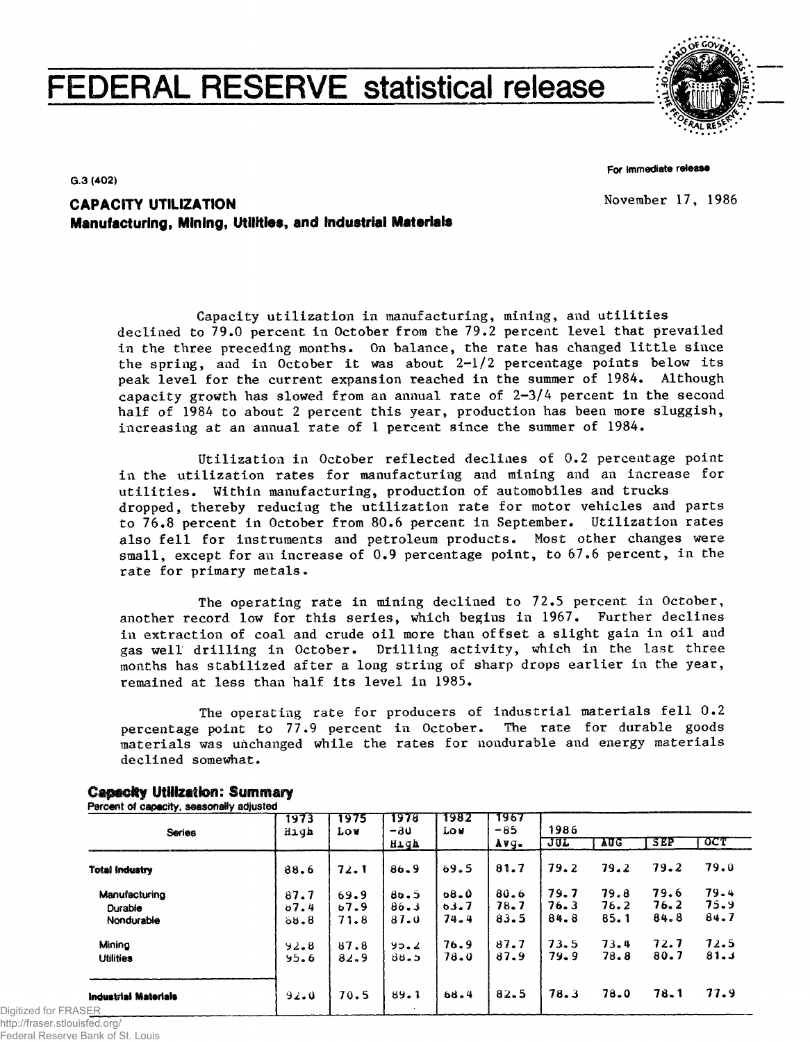# **FEDERAL RESERVE statistical release**



For Immediate release

G.3 (402)

November 17, 1986

**CAPACITY UTILIZATION Manufacturing, Mining, Utilities, and Industrial Materials**

> Capacity utilization in manufacturing, mining, and utilities declined to 79.0 percent in October from the 79.2 percent level that prevailed in the three preceding months. On balance, the rate has changed little since the spring, and in October it was about  $2-1/2$  percentage points below its peak level for the current expansion reached in the summer of 1984. Although capacity growth has slowed from an annual rate of 2-3/4 percent in the second half of 1984 to about 2 percent this year, production has been more sluggish, increasing at an annual rate of 1 percent since the summer of 1984.

> Utilization in October reflected declines of 0.2 percentage point in the utilization rates for manufacturing and mining and an increase for utilities. Within manufacturing, production of automobiles and trucks dropped, thereby reducing the utilization rate for motor vehicles and parts to 76.8 percent in October from 80.6 percent in September. Utilization rates also fell for instruments and petroleum products. Most other changes were small, except for an increase of 0.9 percentage point, to 67.6 percent, in the rate for primary metals.

> The operating rate in mining declined to 72.5 percent in October, another record low for this series, which begins in 1967. Further declines in extraction of coal and crude oil more than offset a slight gain in oil and gas well drilling in October. Drilling activity, which in the last three months has stabilized after a long string of sharp drops earlier in the year, remained at less than half its level in 1985.

> The operating rate for producers of industrial materials fell 0.2 percentage point to 77.9 percent in October. The rate for durable goods materials was unchanged while the rates for nondurable and energy materials declined somewhat.

| <b>Series</b>                | 1973<br>High | 1975<br>Lov | 1978<br>-30<br>High | 7982<br><b>LOW</b> | 7967<br>$-85$ | 1986 |      |            |          |  |  |  |
|------------------------------|--------------|-------------|---------------------|--------------------|---------------|------|------|------------|----------|--|--|--|
|                              |              |             |                     |                    | Avq.          | JUL  | AUG  | <b>SEP</b> | उटा      |  |  |  |
| <b>Total Industry</b>        | 88.6         | 72.1        | 86.9                | 69.5               | 81.7          | 79.2 | 79.2 | 79.2       | 79.0     |  |  |  |
| Manufacturing                | 87.7         | 69.9        | 80.5                | $68 - 0$           | 80.6          | 79.7 | 79.8 | 79.6       | $79 - 4$ |  |  |  |
| Durable                      | 87.4         | b7.9        | 86.3                | 0.3.7              | 78.7          | 76.3 | 76.2 | 76.2       | 75.9     |  |  |  |
| Nondurable                   | 68.8         | 71.8        | 87.0                | 74.4               | 83.5          | 84.8 | 85.1 | 84.8       | 84.7     |  |  |  |
| Mining                       | 92.8         | 87.8        | 95.2                | 76.9               | 87.7          | 73.5 | 73.4 | 72.7       | 72.5     |  |  |  |
| <b>Utilities</b>             | 95.6         | 82.9        | 88.5                | 78.0               | 87.9          | 79.9 | 78.8 | 80.7       | 81.3     |  |  |  |
| Industrial Materials<br>SER. | 92.0         | 70.5        | 89.1                | 68.4               | 82.5          | 78.3 | 78.0 | 78.1       | 77.9     |  |  |  |

#### **Capacky Utilization: Summary** .<br>Port of capacity, seasonally adjusted

Digitized for FRA http://fraser.stlouisfed.org/ Federal Reserve Bank of St. Louis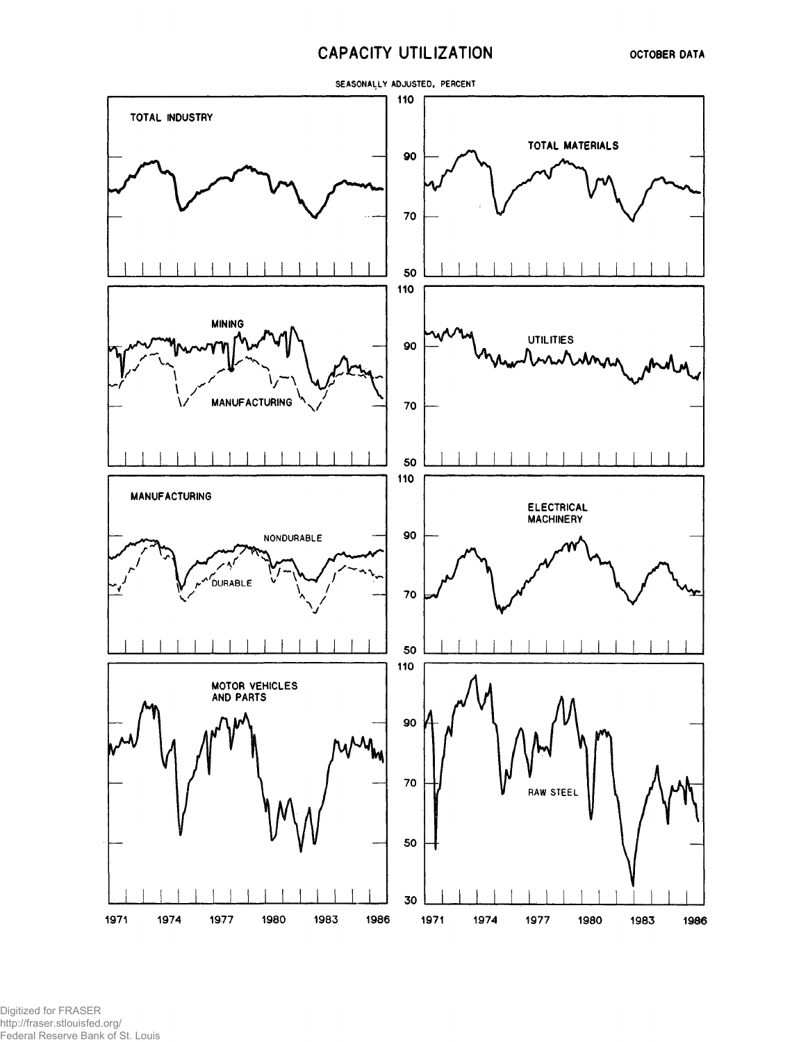## **CAPACITY UTILIZATION**



Digitized for FRASER http://fraser.stlouisfed.org/ Federal Reserve Bank of St. Louis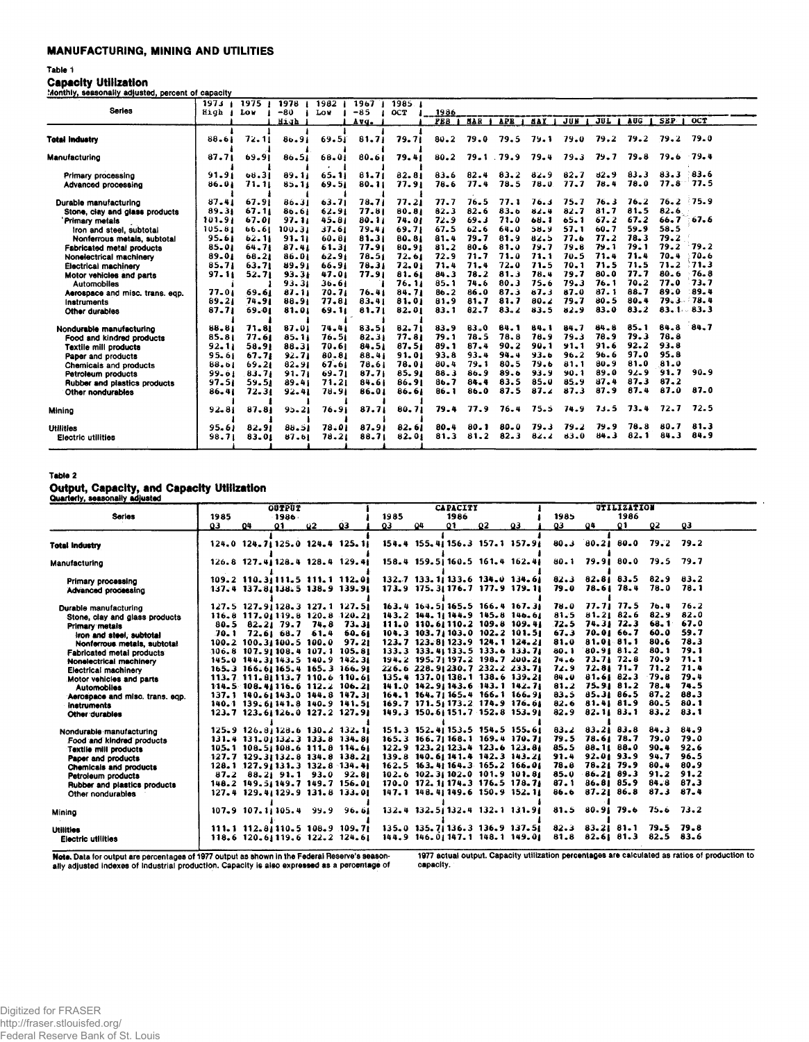### **MANUFACTURING, MINING AND UTILITIES**

#### Table 1

**Capacity Utilization** 

| Monthly, seasonally adjusted, percent of capacity |  |  |
|---------------------------------------------------|--|--|
|                                                   |  |  |

|                                     | 197.1     | 1975 <sub>1</sub> | 1978 1    | 1982      | 1967 <sub>1</sub> | 1985.  |            |          |            |          |          |          |          |               |        |
|-------------------------------------|-----------|-------------------|-----------|-----------|-------------------|--------|------------|----------|------------|----------|----------|----------|----------|---------------|--------|
| <b>Series</b>                       | High A    | Lo v              | $-80$     | Lov       | $-85$             | OCT    | 1986       |          |            |          |          |          |          |               |        |
|                                     |           |                   | High      |           | Avg.              |        | <b>FEB</b> | MAR      | <b>APR</b> | MAY      | JUN      | JUL      | AUG.     | SEP.          | OCT    |
|                                     |           |                   |           |           |                   |        |            |          |            |          |          |          |          |               |        |
| <b>Total Industry</b>               | $88 - 61$ | 72.11             | 86.91     | 69.51     | 81.71             | 79.71  | $80 - 2$   | 79.0     | 79.5       | 79.1     | 79.0     | 79.2     | 79.2     | 79.2          | 79.0   |
| Manufacturing                       | 87.71     | 69.91             | 86.51     | 68.01     | 80.61             | 79.41  | 80.2       |          | 79.1.79.9  | 79.4     | 79.3     | 79.7     | 79.8     | 79.6          | - 79.4 |
| Primary processing                  | 91.91     | 68.31             | 89.11     | 65.11     | 81.71             | 82.81  | 83.6       | 82.4     | 83.2       | 82.9     | $82 - 7$ | 82.9     | 83.3     | 83.3          | 83.6   |
| Advanced processing                 | 86.01     | 71.11             | $85 - 11$ | 69.51     | $80 - 11$         | 77.91  | 78.6       | 77.4     | 78.5       | 78.0     | 77.7     | 78.4     | 78.0     | 77.8          | - 77.5 |
| Durable manufacturing               | 87.41     | 67.91             | 86.31     | $63 - 71$ | 78,71             | 77.21  | 77.7       | 76.5     | 77.1       | 76.1     | 75.7     | 76.3     | 76.2     | 76.2          | 75.9   |
| Stone, clay and glass products      | 89.31     | 67.11             | 86.61     | 62.91     | 77.81             | 80.81  | 82.3       | 82.6     | 83.6       | 82.4     | 82.7     | 81.7     | 81.5     | 82.6          |        |
| Primary metals                      | 101.91    | 67.01             | $97 - 11$ | 45.81     | 80.11             | 74.01  | 72.9       | 69.3     | 71.0       | 68.1     | $65 - 1$ | 67.2     | 67.2     | 66.7          | - 67.6 |
| Iron and steel, subtotal            | 105.81    | 66.61             | 100.31    | 37.61     | 79.41             | 69.71  | 67.5       | 62.6     | 64.0       | 58.9     | 57.1     | $60 - 7$ | 59.9     | 58.5          |        |
| Nonferrous metals, subtotal         | 95.61     | $62 - 11$         | $91 - 11$ | 60.81     | 81.31             | 80.81  | 81.4       | 79.7     | 81.9       | 82.5     | 77.6     | 77.2     | 78.3     | 79.2          |        |
| Fabricated metal products           | 85.01     | 64.71             | 87.41     | 61.31     | 77.91             | 80.91  | $81 - 2$   | 80.6     | 81.0       | 79.7     | 79.8     | 79.1     | 79.1     | 79.2          | 79.2   |
| Nonelectrical machinery             | 89.01     | 68.21             | 86.01     | $62 - 91$ | 78.51             | 72.61  | 72.9       | 71.7     | 71.0       | 71.1     | 70.5     | 71.4     | 71.4     | 70.4          | 70.6   |
| Electrical machinery                | 85.71     | 63.71             | 89.91     | 66.91     | 78.31             | 72.01  | 71.4       | 71.4     | 72.0       | 71.5     | 70.1     | 71.5     | 71.5     | 71.2          | 71.3   |
| Motor vehicles and parts            | 97.11     | 52.71             | 93.31     | 47.01     | 77.91             | 81.61  | 84.3       | 78.2     | 81.3       | 78.4     | 79.7     | 80.0     | 77.7     | 80.6          | 76.8   |
| <b>Automobiles</b>                  |           |                   | 93.31     | 36.61     |                   | 76. 11 | 85.1       | 74.6     | 80.3       | 75.6     | 79.3     | 76.1     | 70.2     | 77.0          | 73.7   |
| Aerospace and misc. trans. egp.     | 77.01     | 69.61             | $87 - 11$ | 70.71     | 76.41             | 84.71  | $86 - 2$   | 86.0     | 37. 8      | 87.3     | 87.0     | 87.1     | 88.7     | 89.0          | 89.4   |
| Instruments                         | 89.21     | 74.91             | 88.91     | 77.81     | 83.41             | 81.01  | 81.9       | 81.7     | 81.7       | $80 - 2$ | 79.7     | $80 - 5$ | 80.4     | $79.3 - 78.4$ |        |
| Other durables                      | 87.71     | 69.01             | 81.01     | 69.11     | 81.71             | 82.01  | 83.1       | $82 - 7$ | $83 - 2$   | 83.5     | 82.9     | 83.0     | $83 - 2$ | $83.1 - 83.3$ |        |
|                                     |           |                   |           |           |                   |        |            |          |            |          |          |          |          |               |        |
| Nondurable manufacturing            | 88.81     | 71.81             | 87.01     | 74.41     | 83.51             | 82.71  | 83.9       | 83.0     | 84.1       | 84.1     | 84.7     | $84 - 8$ | 85.1     | 84.8          | 84.7   |
| Food and kindred products           | 85.81     | 77.61             | 85.11     | 76.51     | $82 - 31$         | 77.81  | 79.1       | 78.5     | 78.8       | 78.9     | 79.3     | 78.9     | 79.3     | 78.8          |        |
| <b>Textile mill products</b>        | 92.11     | 58.91             | 88.31     | 70.61     | 84.51             | 87.51  | 89.1       | 87.4     | 90.2       | 90.1     | 91.1     | 91.6     | 92.2     | 93.8          |        |
| Paper and products                  | 95.61     | 67.71             | 92.71     | 80.81     | 88.41             | 91.01  | 93.8       | 93.4     | 94.4       | 93.6     | 96.2     | 96.6     | 97.0     | 95.8          |        |
| Chemicals and products              | 88.61     | 69.21             | 82.91     | 67.61     | 78.61             | 78.01  | 80.4       | 79.1     | 80.5       | 79.6     | 81.1     | 80.9     | 81.0     | 81.0          |        |
| Petroleum products                  | 99.61     | 83.71             | 91.71     | 69.71     | 87.71             | 85.91  | $88 - 3$   | 86.9     | 89.6       | 93.9     | 90.1     | 89.0     | $92 - 9$ | 91.7          | 90.9   |
| <b>Rubber and plastics products</b> | 97.51     | 59.51             | 89.41     | 71.21     | 84.61             | 86.91  | 86.7       | 84.4     | 83.5       | 85.0     | 85.9     | 87.4     | 87.3     | 87.2          |        |
| Other nondurables                   | 86.41     | 72.31             | 92.41     | 78.91     | 86.01             | 86.61  | $86 - 1$   | 86.0     | 87.5       | 87.2     | 87.3     | 87.9     | 87.4     | 87.0          | 87.0   |
| Mining                              | $92 - 81$ | 87.81             | $95 - 21$ | 76.91     | 87.71             | 80.71  | 79.4       | 77.9     | 76.4       | 75.5     | 74.9     | 73.5     | 73.4     | 72.7          | 72.5   |
| <b>Utilities</b>                    | 95.61     | 82.91             | 88.51     | 78.01     | 87.91             | 82.61  | $80 - 4$   | 80.1     | 80.0       | 79.3     | 79.2     | 79.9     | 78.8     | 80.7          | 81.3   |
| <b>Electric utilities</b>           | 98.71     | 83.01             | 87.61     | 78.21     | 88.71             | 82.01  | 81.3       | 81.2     | 82.3       | 82.2     | 83.0     | 84.3     | 82.1     | 84.3          | 84.9   |
|                                     |           |                   |           |           |                   |        |            |          |            |          |          |          |          |               |        |

#### Table 2

Output, Capacity, and Capacity Utilization

|                                  |               |                              | <b>OUTPUT</b> |           |                                        |      |    | UTILIZATION<br>1986 |      |                                        |      |                       |      |               |               |
|----------------------------------|---------------|------------------------------|---------------|-----------|----------------------------------------|------|----|---------------------|------|----------------------------------------|------|-----------------------|------|---------------|---------------|
| <b>Series</b>                    | 1985<br>1986. |                              |               | 1985      |                                        | 1986 |    |                     | 1985 |                                        |      |                       |      |               |               |
|                                  | 03            | 04                           | 01            | <b>ü2</b> | 03                                     | Q3   | 04 | $^{\circ}$          | 02   | 03                                     | Q3   | 04                    | Q1   | 02            | Q3            |
| <b>Total Industry</b>            |               |                              |               |           | 124.0 124.7:125.0 124.4 125.11         |      |    |                     |      | 154.4 155.41156.3 157.1 157.91         | 80.3 | 80.21                 | 80.0 | 79.2          | 79.2          |
| Manufacturing                    |               |                              |               |           | 126.8 127.41128.4 128.4 129.41         |      |    |                     |      | 158.4 159.51160.5 161.4 162.41         | 80.1 | 79.91 80.0            |      | 79.5          | 79.7          |
| Primary processing               |               |                              |               |           | 109.2 110.3(111.5 111.1 112.0)         |      |    |                     |      | 132.7 133.11133.6 134.0 134.61         | 82.3 | $82.81$ $83.5$        |      | 82.9          | 83.2          |
| Advanced processing              |               |                              |               |           | 137.4 137.81138.5 138.9 139.91         |      |    |                     |      | 173.9 175.31176.7 177.9 179.11         | 79.0 | 78.61 78.4            |      | 78.0          | 78.1          |
| Durable manufacturing            |               |                              |               |           | 127.5 127.91128.3 127.1 127.51         |      |    |                     |      | 163.4 164.51165.5 166.4 167.31         | 78.0 | 77.71 77.5            |      | 76.4          | 76.2          |
| Stone, clay and glass products   |               |                              |               |           | 116.8 117.01119.8 120.8 120.21         |      |    |                     |      | 143.2 144.11144.9 145.8 146.61         | 81.5 | 81.21 82.6            |      | 82.9          | 82.0          |
| Primary metals                   |               | $80.5$ $82.21$ $79.7$ $74.8$ |               |           | 73.31                                  |      |    |                     |      | 111.0 110.61110.2 109.8 109.41         | 72.5 | $74.31$ $72.3$        |      |               | 68.1 67.0     |
| Iron and steel, subtotal         |               | 70.1 72.61 68.7 61.4         |               |           | 60.61                                  |      |    |                     |      | 104.3 103.7 103.0 102.2 101.5          | 67.3 | 70.01 66.7            |      | 60.0          | 59.7          |
| Nonferrous metals, subtotal      |               | 100.2 100.31100.5 100.0      |               |           | 97.21                                  |      |    |                     |      | 123.7 123.81123.9 124.1 124.21         | 81.0 | 81.01.81.1            |      | 80.6          | 78.3          |
| <b>Fabricated metal products</b> |               |                              |               |           | 106.8 107.91108.4 107.1 105.81         |      |    |                     |      | 133.3 133.41133.5 133.6 133.71         | 80.1 | 80.9181.2             |      | 80.1          | 79.1          |
| Nonelectrical machinery          |               |                              |               |           | 145.0 144.31143.5 140.9 142.31         |      |    |                     |      | 194.2 195.71 197.2 198.7 200.21        | 74.6 | $73.71$ $72.8$        |      | 70.9          | 71.1          |
| Electrical machinery             |               |                              |               |           | 165.3 166.61165.4 165.3 166.91         |      |    |                     |      | 226.6 228.91230.7 232.2 233.71         | 72.9 | $72.81$ $71.7$        |      |               | $71.2$ $71.4$ |
| Motor vehicles and parts         |               |                              |               |           | 113.7 111.81113.7 110.6 110.61         |      |    |                     |      | 135.4 137.0 138.1 138.6 139.21         | 84.0 | 81.6182.3             |      | 79.8          | 79.4          |
| <b>Automobiles</b>               |               |                              |               |           | 114.5 108.41116.6 112.2 106.21         |      |    |                     |      | 141.0 142.91143.6 143.1 142.71         | 81.2 | 75.9181.2             |      | 78.4          | 74.5          |
| Aerospace and misc. trans. eqp.  |               |                              |               |           | 137.1 140.61143.0 144.8 147.31         |      |    |                     |      | 164.1 164.71165.4 166.1 166.91         | 83.5 | 85.31 86.5            |      | 87.2          | 88.3          |
| Instruments                      |               |                              |               |           | 140.1 139.61141.8 140.9 141.51         |      |    |                     |      | 169.7 171.5:173.2 174.9 176.61         | 82.6 | 81.41 81.9            |      | 80.5          | 80.1          |
| Other durables                   |               |                              |               |           | 123.7 123.61126.0 127.2 127.91         |      |    |                     |      | 149.3 150.61151.7 152.8 153.91         | 82.9 | $82.11$ $83.1$        |      | $83 - 2$      | 83.1          |
| Nondurable manufacturing         |               |                              |               |           | $125.9$ $126.81128.6$ $130.2$ $132.11$ |      |    |                     |      | 151.3 152.41 153.5 154.5 155.61        | 83.2 | $83.21$ $83.8$        |      | 84.3          | 84.9          |
| Food and kindred products        |               |                              |               |           | 131.4 131.01132.3 133.8 134.81         |      |    |                     |      | 165.3 166.71 168.1 169.4 170.71        | 79.5 | 78.61 78.7            |      | 79.0          | 79.0          |
| <b>Textile mill products</b>     |               |                              |               |           | 105.1 108.5; 108.6 111.8 114.6;        |      |    |                     |      | 122.9 123.21 123.4 123.6 123.81        | 85.5 | 88.11 88.0            |      | 90.4          | 92.6          |
| Paper and products               |               |                              |               |           | 127.7 129.31132.8 134.8 138.21         |      |    |                     |      | 139.8 140.61 141.4 142.3 143.21        | 91.4 | 92.0193.9             |      | 94.7          | 96.5          |
| <b>Chemicals and products</b>    |               |                              |               |           | 128.1 127.91131.3 132.8 134.41         |      |    |                     |      | $162.5$ 163.41 164.3 165.2 166.01      | 78.8 | $78.21$ $79.9$        |      | 80.4          | 80.9          |
| Petroleum products               |               |                              |               |           | $87.2$ $88.2$ $91.1$ $93.0$ $92.8$     |      |    |                     |      | 102.6 102.3  102.0 101.9 101.8         | 85.0 | $86 - 21$ 89.3        |      | 91.2          | 91.2          |
| Rubber and plastics products     |               |                              |               |           | 148.2 149.51149.7 149.7 156.01         |      |    |                     |      | 170.0 172.11 174.3 176.5 178.71        | 87.1 | 86.81 85.9            |      | $84.8$ $87.3$ |               |
| Other nondurables                |               |                              |               |           | 127.4 129.4:129.9 131.8 133.01         |      |    |                     |      | 147.1 148.41149.6 150.9 152.11         | 86.6 | 87.21 86.8            |      | 87.3          | 87.4          |
| Mining                           |               |                              |               |           | 107.9 107.1:105.4 99.9 96.61           |      |    |                     |      | $132.4$ $132.51132.4$ $132.1$ $131.91$ |      | $81.5$ $80.91$ $79.6$ |      | 75.6          | -73.2         |
| <b>Utilities</b>                 |               |                              |               |           | 111.1 112.81110.5 108.9 109.71         |      |    |                     |      | $135.0$ 135.7   136.3 136.9 137.5      |      | $82.3$ $83.21$ $81.1$ |      | 79.5 79.8     |               |
| <b>Electric utilities</b>        |               |                              |               |           | 118.6 120.61119.6 122.2 124.61         |      |    |                     |      | 144.9 146.01147.1 148.1 149.01         |      | $81.8$ $82.6$ $81.3$  |      | 82.5          | 83.6          |

Note. Data for output are percentages of 1977 output as shown in the Federal Reserve's season-<br>ally adjusted indexes of industrial production. Capacity is also expressed as a percentage of

1977 actual output. Capacity utilization percentages are calculated as ratios of production to capacity.